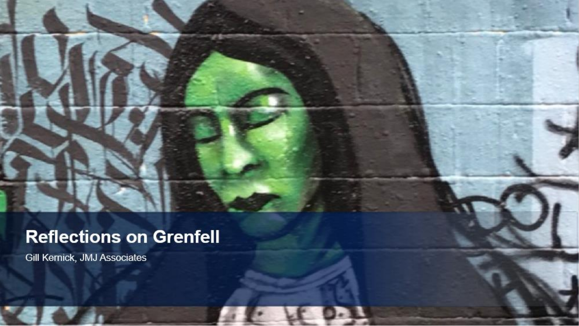## **Reflections on Grenfell**

Gill Kernick, JMJ Associates

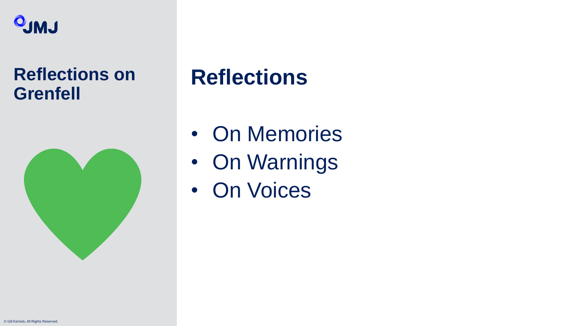## **Reflections**

- On Memories
- On Warnings
- On Voices



## **Reflections on Grenfell**

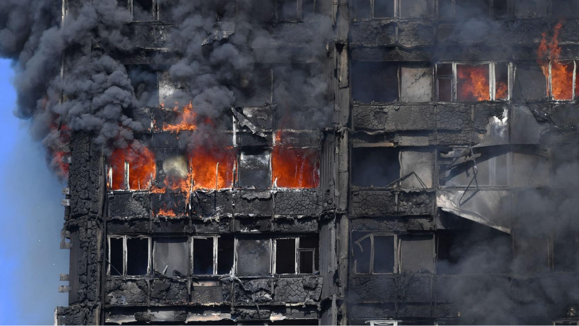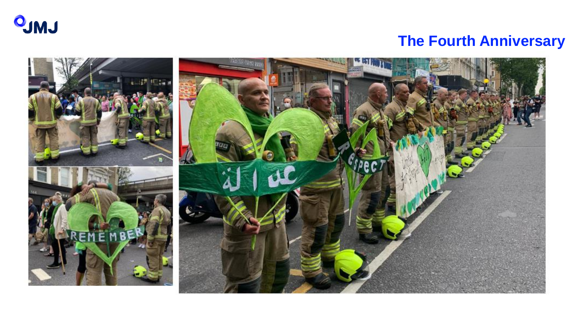



### **The Fourth Anniversary**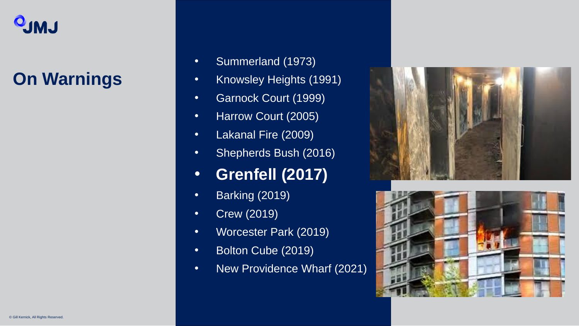

## **On Warnings**

- Summerland (1973)
- Knowsley Heights (1991)
- Garnock Court (1999)
- Harrow Court (2005)
- Lakanal Fire (2009)
- Shepherds Bush (2016)
- **Grenfell (2017)**
- Barking (2019)
- Crew (2019)
- Worcester Park (2019)
- Bolton Cube (2019)
- New Providence Wharf (2021)



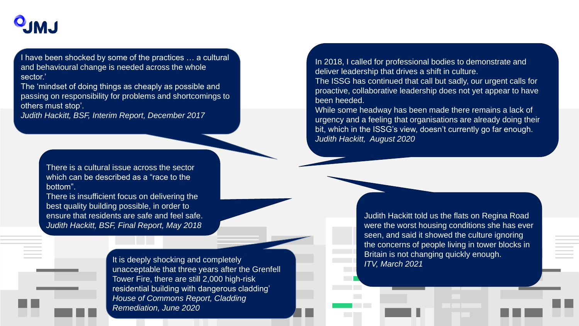It is deeply shocking and completely unacceptable that three years after the Grenfell Tower Fire, there are still 2,000 high-risk residential building with dangerous cladding' *House of Commons Report, Cladding Remediation, June 2020*



I have been shocked by some of the practices ... a cultural and behavioural change is needed across the whole sector.'

The 'mindset of doing things as cheaply as possible and passing on responsibility for problems and shortcomings to others must stop'.

*Judith Hackitt, BSF, Interim Report, December 2017*

There is a cultural issue across the sector which can be described as a "race to the bottom".

There is insufficient focus on delivering the best quality building possible, in order to ensure that residents are safe and feel safe. *Judith Hackitt, BSF, Final Report, May 2018*

Judith Hackitt told us the flats on Regina Road were the worst housing conditions she has ever seen, and said it showed the culture ignoring the concerns of people living in tower blocks in Britain is not changing quickly enough. *ITV, March 2021*

In 2018, I called for professional bodies to demonstrate and deliver leadership that drives a shift in culture.

The ISSG has continued that call but sadly, our urgent calls for proactive, collaborative leadership does not yet appear to have

been heeded.

While some headway has been made there remains a lack of urgency and a feeling that organisations are already doing their bit, which in the ISSG's view, doesn't currently go far enough. *Judith Hackitt, August 2020*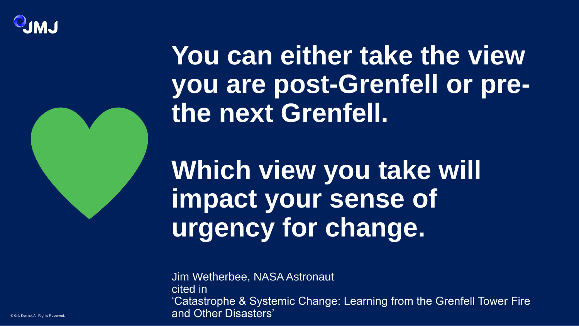

# **You can either take the view you are post-Grenfell or prethe next Grenfell.**

Jim Wetherbee, NASA Astronaut cited in 'Catastrophe & Systemic Change: Learning from the Grenfell Tower Fire  $\circ$  Gill, Kernick All Rights Reserved.  $\bullet$  and Other Disasters'

# **Which view you take will impact your sense of urgency for change.**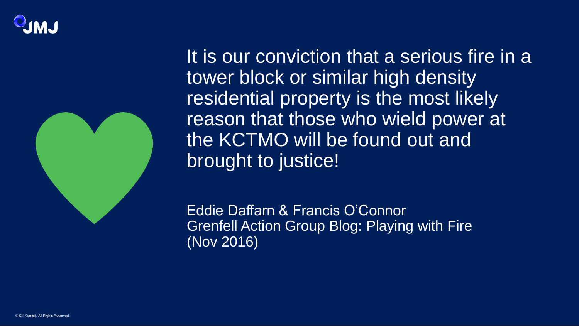



It is our conviction that a serious fire in a tower block or similar high density residential property is the most likely reason that those who wield power at the KCTMO will be found out and brought to justice!

Eddie Daffarn & Francis O'Connor Grenfell Action Group Blog: Playing with Fire (Nov 2016)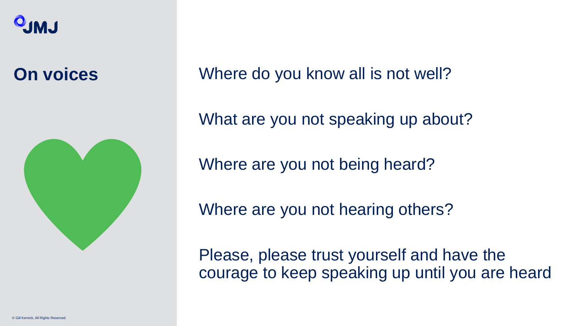



**On voices** Where do you know all is not well?

What are you not speaking up about?

Where are you not being heard?

Where are you not hearing others?

Please, please trust yourself and have the courage to keep speaking up until you are heard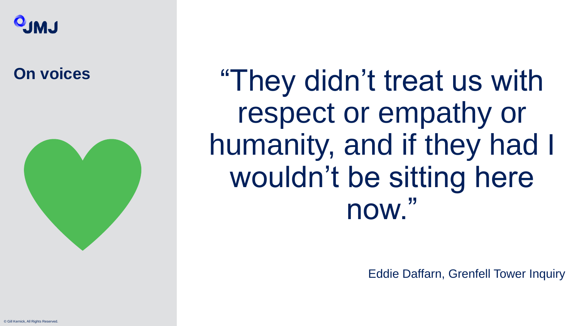



**On voices** "They didn't treat us with respect or empathy or humanity, and if they had I wouldn't be sitting here now."

Eddie Daffarn, Grenfell Tower Inquiry

© Gill Kernick, All Rights Reserved.